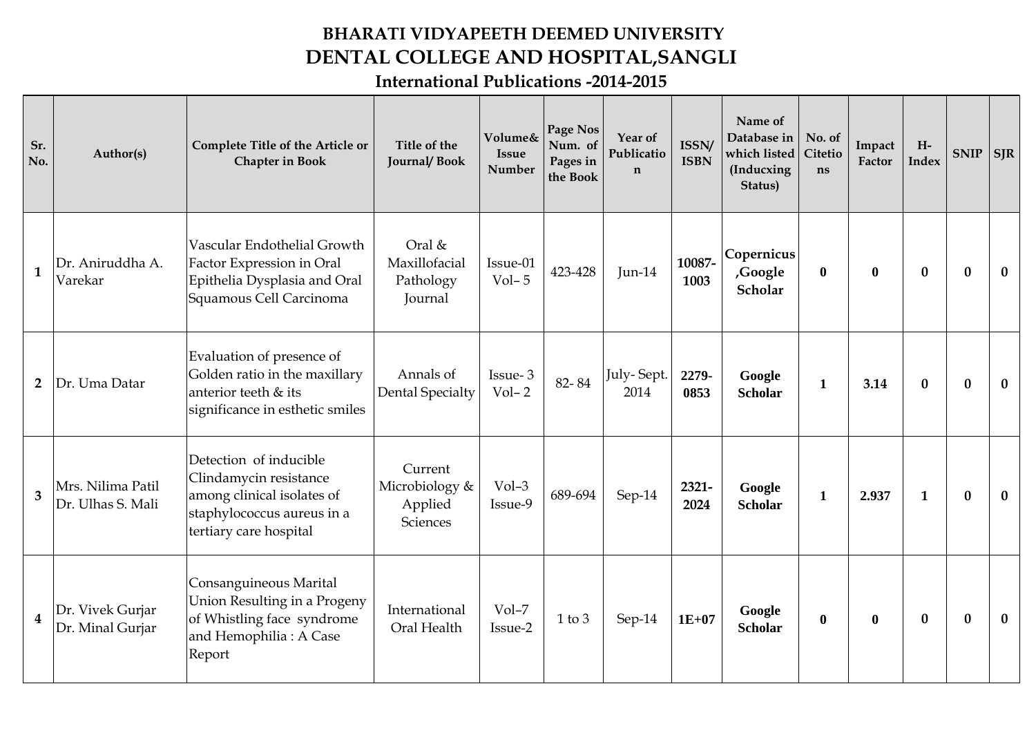## **BHARATI VIDYAPEETH DEEMED UNIVERSITY DENTAL COLLEGE AND HOSPITAL,SANGLI**

**International Publications -2014-2015**

| Sr.<br>No.              | Author(s)                              | Complete Title of the Article or<br><b>Chapter in Book</b>                                                                             | Title of the<br><b>Journal/Book</b>              | Volume&<br><b>Issue</b><br>Number | Page Nos<br>Num. of<br>Pages in<br>the Book | Year of<br>Publicatio<br>$\mathbf n$ | ISSN/<br><b>ISBN</b> | Name of<br>Database in<br>which listed<br>(Inducxing<br>Status) | No. of<br><b>Citetio</b><br>ns | Impact<br>Factor | $H-$<br>Index    | <b>SNIP</b>  | <b>SJR</b>   |
|-------------------------|----------------------------------------|----------------------------------------------------------------------------------------------------------------------------------------|--------------------------------------------------|-----------------------------------|---------------------------------------------|--------------------------------------|----------------------|-----------------------------------------------------------------|--------------------------------|------------------|------------------|--------------|--------------|
| $\mathbf{1}$            | Dr. Aniruddha A.<br>Varekar            | Vascular Endothelial Growth<br>Factor Expression in Oral<br>Epithelia Dysplasia and Oral<br>Squamous Cell Carcinoma                    | Oral &<br>Maxillofacial<br>Pathology<br>Journal  | Issue-01<br>$Vol-5$               | 423-428                                     | Jun-14                               | 10087-<br>1003       | Copernicus<br>,Google<br>Scholar                                | $\mathbf{0}$                   | $\bf{0}$         | $\boldsymbol{0}$ | $\bf{0}$     | $\bf{0}$     |
| $\overline{2}$          | Dr. Uma Datar                          | Evaluation of presence of<br>Golden ratio in the maxillary<br>anterior teeth & its<br>significance in esthetic smiles                  | Annals of<br><b>Dental Specialty</b>             | Issue-3<br>$Vol-2$                | 82-84                                       | July-Sept.<br>2014                   | 2279-<br>0853        | Google<br><b>Scholar</b>                                        | $\mathbf{1}$                   | 3.14             | $\bf{0}$         | $\bf{0}$     | $\mathbf{0}$ |
| $\overline{3}$          | Mrs. Nilima Patil<br>Dr. Ulhas S. Mali | Detection of inducible<br>Clindamycin resistance<br>among clinical isolates of<br>staphylococcus aureus in a<br>tertiary care hospital | Current<br>Microbiology &<br>Applied<br>Sciences | $Vol-3$<br>Issue-9                | 689-694                                     | Sep-14                               | 2321-<br>2024        | Google<br><b>Scholar</b>                                        | $\mathbf{1}$                   | 2.937            | $\mathbf{1}$     | $\mathbf{0}$ | $\mathbf{0}$ |
| $\overline{\mathbf{4}}$ | Dr. Vivek Gurjar<br>Dr. Minal Gurjar   | Consanguineous Marital<br>Union Resulting in a Progeny<br>of Whistling face syndrome<br>and Hemophilia: A Case<br>Report               | International<br>Oral Health                     | $Vol-7$<br>Issue-2                | $1$ to $3$                                  | Sep-14                               | $1E+07$              | Google<br><b>Scholar</b>                                        | $\bf{0}$                       | $\bf{0}$         | $\bf{0}$         | $\mathbf{0}$ | $\mathbf{0}$ |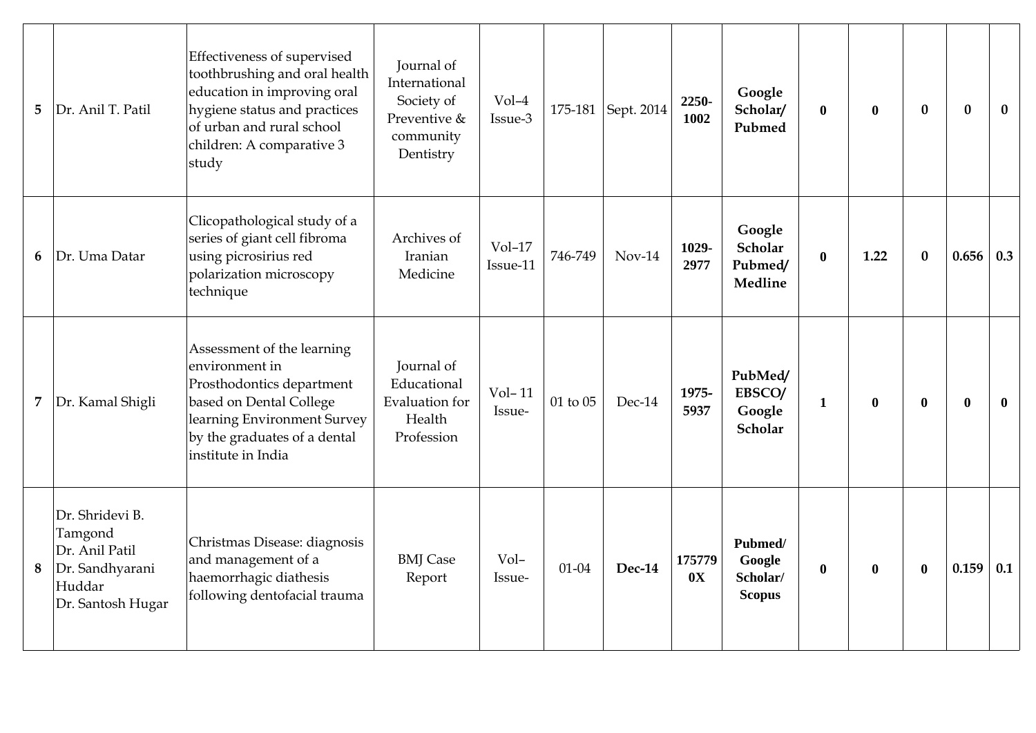| 5              | Dr. Anil T. Patil                                                                              | Effectiveness of supervised<br>toothbrushing and oral health<br>education in improving oral<br>hygiene status and practices<br>of urban and rural school<br>children: A comparative 3<br>study | Journal of<br>International<br>Society of<br>Preventive &<br>community<br>Dentistry | $Vol-4$<br>Issue-3   |           | 175-181 Sept. 2014 | 2250-<br>1002 | Google<br>Scholar/<br>Pubmed                   | $\bf{0}$     | $\mathbf{0}$ | $\bf{0}$     | $\bf{0}$         | $\bf{0}$     |
|----------------|------------------------------------------------------------------------------------------------|------------------------------------------------------------------------------------------------------------------------------------------------------------------------------------------------|-------------------------------------------------------------------------------------|----------------------|-----------|--------------------|---------------|------------------------------------------------|--------------|--------------|--------------|------------------|--------------|
| 6              | Dr. Uma Datar                                                                                  | Clicopathological study of a<br>series of giant cell fibroma<br>using picrosirius red<br>polarization microscopy<br>technique                                                                  | Archives of<br>Iranian<br>Medicine                                                  | $Vol-17$<br>Issue-11 | 746-749   | $Nov-14$           | 1029-<br>2977 | Google<br>Scholar<br>Pubmed/<br>Medline        | $\bf{0}$     | 1.22         | $\bf{0}$     | 0.656            | 0.3          |
| $\overline{7}$ | Dr. Kamal Shigli                                                                               | Assessment of the learning<br>environment in<br>Prosthodontics department<br>based on Dental College<br>learning Environment Survey<br>by the graduates of a dental<br>institute in India      | Journal of<br>Educational<br><b>Evaluation</b> for<br>Health<br>Profession          | $Vol-11$<br>Issue-   | 01 to 05  | Dec-14             | 1975-<br>5937 | PubMed/<br>EBSCO/<br>Google<br>Scholar         | $\mathbf 1$  | $\mathbf{0}$ | $\mathbf{0}$ | $\boldsymbol{0}$ | $\mathbf{0}$ |
| 8              | Dr. Shridevi B.<br>Tamgond<br>Dr. Anil Patil<br>Dr. Sandhyarani<br>Huddar<br>Dr. Santosh Hugar | Christmas Disease: diagnosis<br>and management of a<br>haemorrhagic diathesis<br>following dentofacial trauma                                                                                  | <b>BMJ</b> Case<br>Report                                                           | Vol-<br>Issue-       | $01 - 04$ | <b>Dec-14</b>      | 175779<br>0X  | Pubmed/<br>Google<br>Scholar/<br><b>Scopus</b> | $\mathbf{0}$ | $\bf{0}$     | $\bf{0}$     | 0.159            | 0.1          |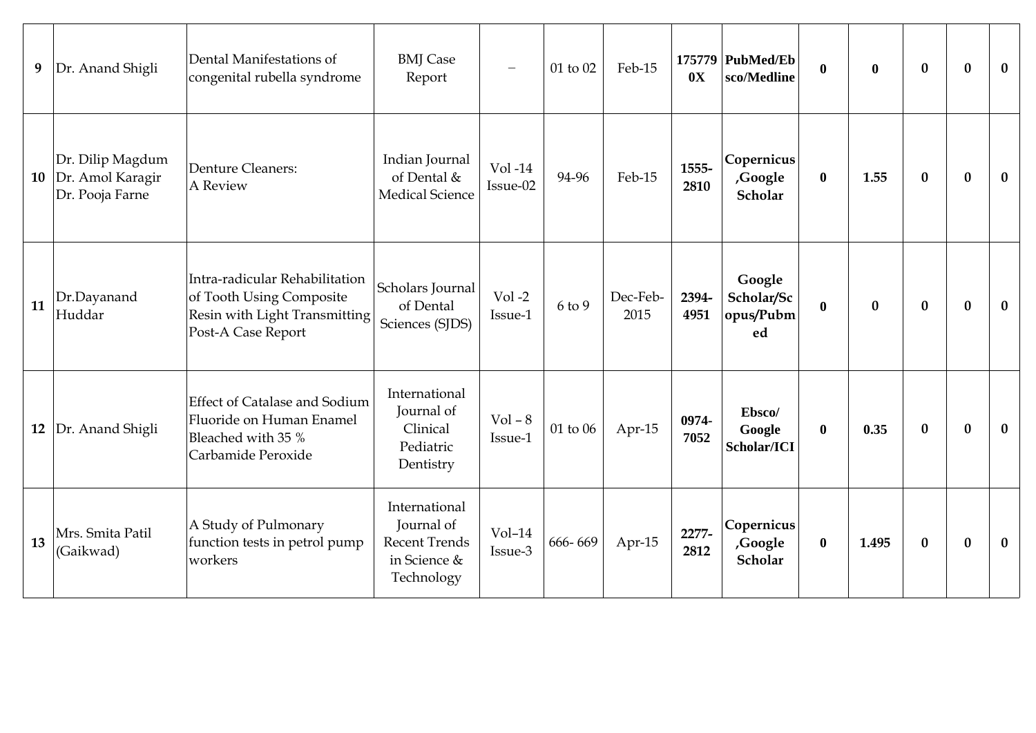| 9  | Dr. Anand Shigli                                        | Dental Manifestations of<br>congenital rubella syndrome                                                           | <b>BMJ</b> Case<br>Report                                                         | $\overline{\phantom{m}}$ | 01 to 02       | Feb-15           | 0X            | 175779 PubMed/Eb<br>sco/Medline         | $\bf{0}$     | $\bf{0}$ | $\boldsymbol{0}$ | $\bf{0}$ | $\bf{0}$     |
|----|---------------------------------------------------------|-------------------------------------------------------------------------------------------------------------------|-----------------------------------------------------------------------------------|--------------------------|----------------|------------------|---------------|-----------------------------------------|--------------|----------|------------------|----------|--------------|
| 10 | Dr. Dilip Magdum<br>Dr. Amol Karagir<br>Dr. Pooja Farne | Denture Cleaners:<br>A Review                                                                                     | Indian Journal<br>of Dental &<br><b>Medical Science</b>                           | $Vol -14$<br>Issue-02    | 94-96          | Feb-15           | 1555-<br>2810 | Copernicus<br>,Google<br>Scholar        | $\bf{0}$     | 1.55     | $\bf{0}$         | $\bf{0}$ | $\bf{0}$     |
| 11 | Dr.Dayanand<br>Huddar                                   | Intra-radicular Rehabilitation<br>of Tooth Using Composite<br>Resin with Light Transmitting<br>Post-A Case Report | Scholars Journal<br>of Dental<br>Sciences (SJDS)                                  | $Vol-2$<br>Issue-1       | 6 to 9         | Dec-Feb-<br>2015 | 2394-<br>4951 | Google<br>Scholar/Sc<br>opus/Pubm<br>ed | $\bf{0}$     | $\bf{0}$ | $\bf{0}$         | $\bf{0}$ | $\mathbf{0}$ |
| 12 | Dr. Anand Shigli                                        | <b>Effect of Catalase and Sodium</b><br>Fluoride on Human Enamel<br>Bleached with 35 %<br>Carbamide Peroxide      | International<br>Journal of<br>Clinical<br>Pediatric<br>Dentistry                 | $Vol - 8$<br>Issue-1     | $01$ to $06\,$ | Apr-15           | 0974-<br>7052 | Ebsco/<br>Google<br>Scholar/ICI         | $\mathbf{0}$ | 0.35     | $\bf{0}$         | $\bf{0}$ | $\bf{0}$     |
| 13 | Mrs. Smita Patil<br>(Gaikwad)                           | A Study of Pulmonary<br>function tests in petrol pump<br>workers                                                  | International<br>Journal of<br><b>Recent Trends</b><br>in Science &<br>Technology | $Vol-14$<br>Issue-3      | 666-669        | Apr-15           | 2277-<br>2812 | Copernicus<br>,Google<br>Scholar        | $\mathbf{0}$ | 1.495    | $\bf{0}$         | $\bf{0}$ | $\bf{0}$     |